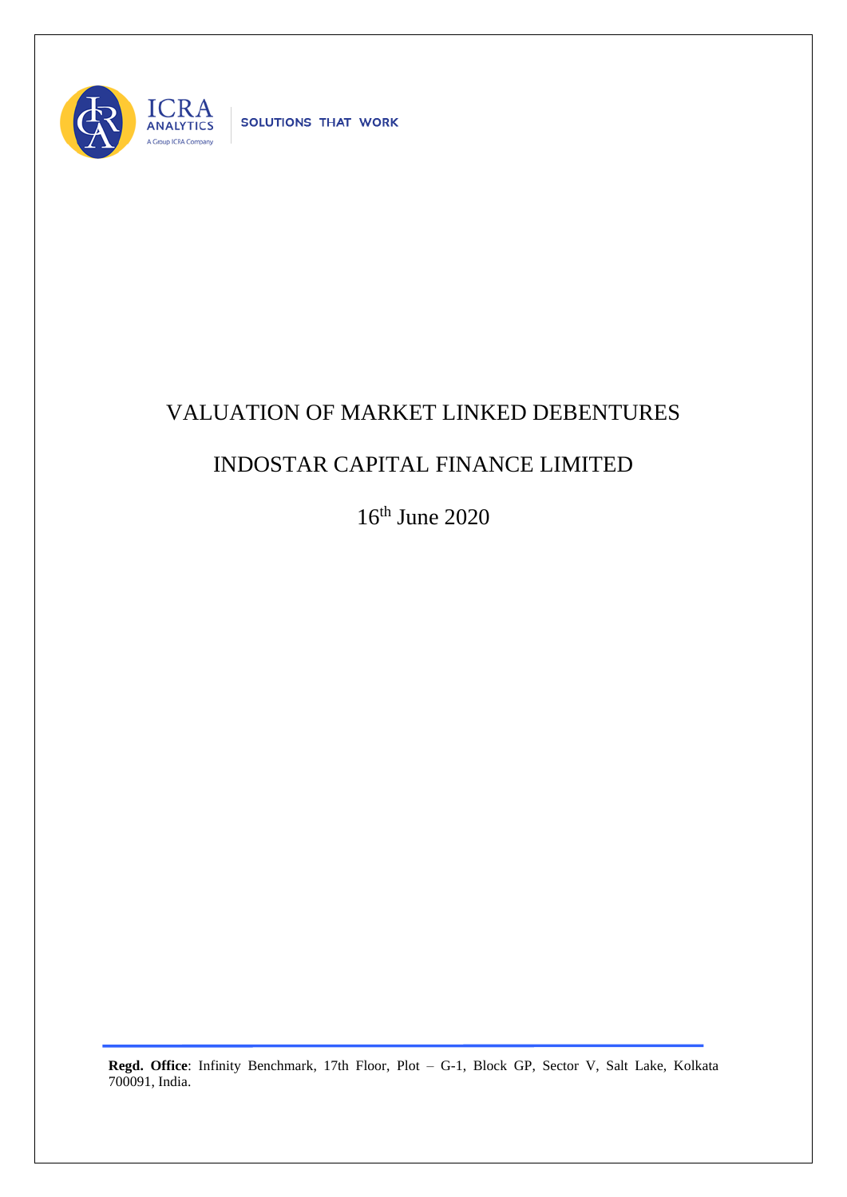

## VALUATION OF MARKET LINKED DEBENTURES

## INDOSTAR CAPITAL FINANCE LIMITED

16th June 2020

**Regd. Office**: Infinity Benchmark, 17th Floor, Plot – G-1, Block GP, Sector V, Salt Lake, Kolkata 700091, India.